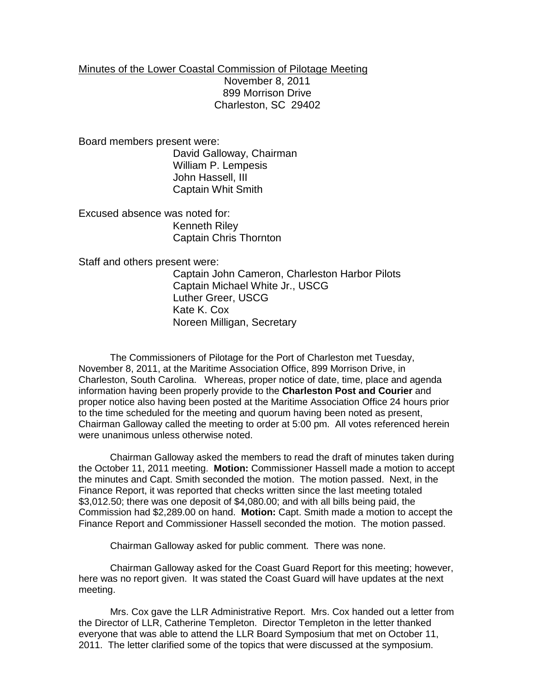## Minutes of the Lower Coastal Commission of Pilotage Meeting November 8, 2011 899 Morrison Drive Charleston, SC 29402

Board members present were: David Galloway, Chairman William P. Lempesis John Hassell, III Captain Whit Smith

Excused absence was noted for: Kenneth Riley Captain Chris Thornton

Staff and others present were:

Captain John Cameron, Charleston Harbor Pilots Captain Michael White Jr., USCG Luther Greer, USCG Kate K. Cox Noreen Milligan, Secretary

The Commissioners of Pilotage for the Port of Charleston met Tuesday, November 8, 2011, at the Maritime Association Office, 899 Morrison Drive, in Charleston, South Carolina. Whereas, proper notice of date, time, place and agenda information having been properly provide to the **Charleston Post and Courier** and proper notice also having been posted at the Maritime Association Office 24 hours prior to the time scheduled for the meeting and quorum having been noted as present, Chairman Galloway called the meeting to order at 5:00 pm. All votes referenced herein were unanimous unless otherwise noted.

Chairman Galloway asked the members to read the draft of minutes taken during the October 11, 2011 meeting. **Motion:** Commissioner Hassell made a motion to accept the minutes and Capt. Smith seconded the motion. The motion passed. Next, in the Finance Report, it was reported that checks written since the last meeting totaled \$3,012.50; there was one deposit of \$4,080.00; and with all bills being paid, the Commission had \$2,289.00 on hand. **Motion:** Capt. Smith made a motion to accept the Finance Report and Commissioner Hassell seconded the motion. The motion passed.

Chairman Galloway asked for public comment. There was none.

Chairman Galloway asked for the Coast Guard Report for this meeting; however, here was no report given. It was stated the Coast Guard will have updates at the next meeting.

Mrs. Cox gave the LLR Administrative Report. Mrs. Cox handed out a letter from the Director of LLR, Catherine Templeton. Director Templeton in the letter thanked everyone that was able to attend the LLR Board Symposium that met on October 11, 2011. The letter clarified some of the topics that were discussed at the symposium.